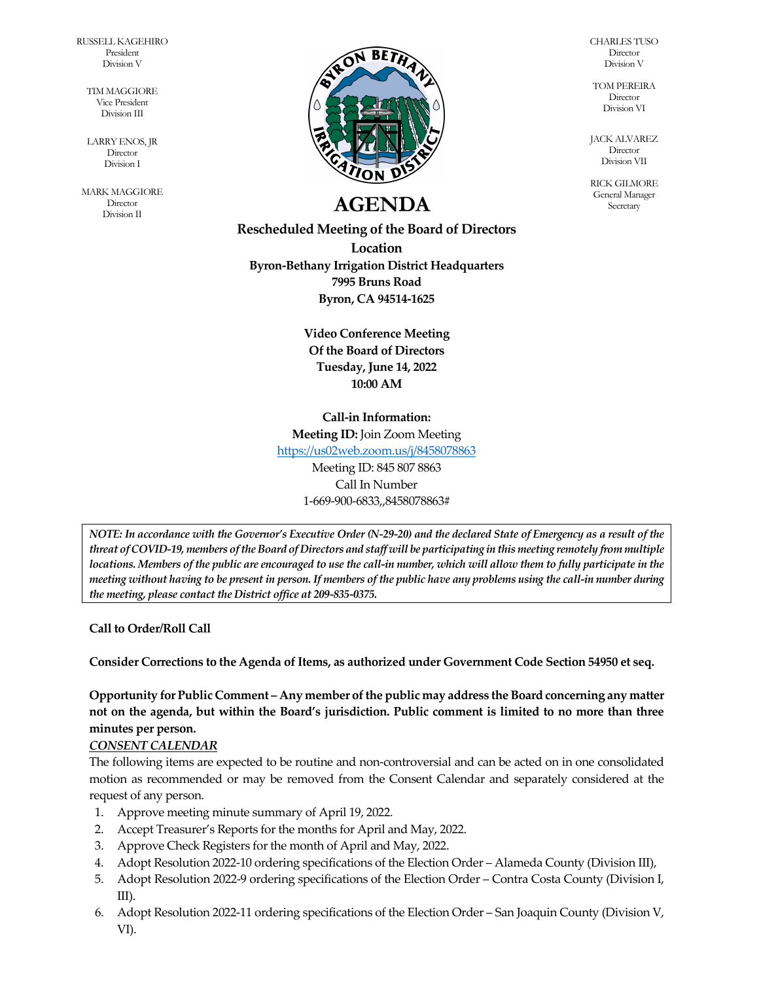RUSSELL KAGEHIRO President Division V

> TIM MAGGIORE Vice President Division III

LARRY ENOS, JR **Director** Division I

MARK MAGGIORE **Director** Division II



# **AGENDA** Secretary **AGENDA**

**Rescheduled Meeting of the Board of Directors Location Byron-Bethany Irrigation District Headquarters 7995 Bruns Road Byron, CA 94514-1625**

> **Video Conference Meeting Of the Board of Directors Tuesday, June 14, 2022 10:00 AM**

#### **Call-in Information:**

**Meeting ID:** Join Zoom Meeting

<https://us02web.zoom.us/j/8458078863>

Meeting ID: 845 807 8863 Call In Number 1-669-900-6833,,8458078863#

*NOTE: In accordance with the Governor's Executive Order (N-29-20) and the declared State of Emergency as a result of the threat of COVID-19, members of the Board of Directors and staff will be participating in this meeting remotely from multiple locations. Members of the public are encouraged to use the call-in number, which will allow them to fully participate in the meeting without having to be present in person. If members of the public have any problems using the call-in number during the meeting, please contact the District office at 209-835-0375.*

**Call to Order/Roll Call**

**Consider Corrections to the Agenda of Items, as authorized under Government Code Section 54950 et seq.**

**Opportunity for Public Comment – Any member of the public may address the Board concerning any matter not on the agenda, but within the Board's jurisdiction. Public comment is limited to no more than three minutes per person.**

## *CONSENT CALENDAR*

The following items are expected to be routine and non-controversial and can be acted on in one consolidated motion as recommended or may be removed from the Consent Calendar and separately considered at the request of any person.

- 1. Approve meeting minute summary of April 19, 2022.
- 2. Accept Treasurer's Reports for the months for April and May, 2022.
- 3. Approve Check Registers for the month of April and May, 2022.
- 4. Adopt Resolution 2022-10 ordering specifications of the Election Order Alameda County (Division III),
- 5. Adopt Resolution 2022-9 ordering specifications of the Election Order Contra Costa County (Division I, III).
- 6. Adopt Resolution 2022-11 ordering specifications of the Election Order San Joaquin County (Division V, VI).

CHARLES TUSO **Director** Division V

TOM PEREIRA Director Division VI

JACK ALVAREZ Director Division VII

RICK GILMORE